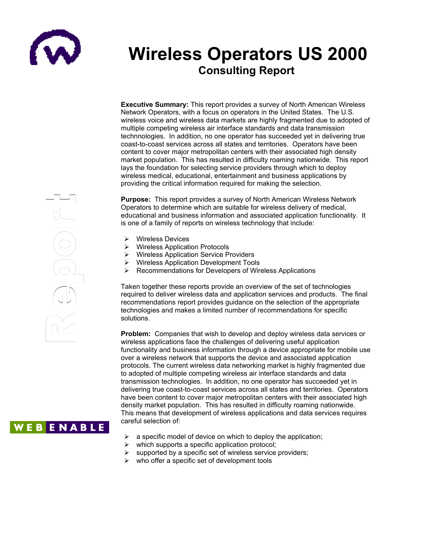

# **Wireless Operators US 2000 Consulting Report**

**Executive Summary:** This report provides a survey of North American Wireless Network Operators, with a focus on operators in the United States. The U.S. wireless voice and wireless data markets are highly fragmented due to adopted of multiple competing wireless air interface standards and data transmission technnologies. In addition, no one operator has succeeded yet in delivering true coast-to-coast services across all states and territories. Operators have been content to cover major metropolitan centers with their associated high density edition. This has resulted in difficulty roaming nationwide. This report market population. This has resulted in difficulty roaming nationwide. This report lays the foundation for selecting service providers through which to deploy g wireless medical, educational, entertainment and business applications by providing the critical information required for making the selection. cor<br>ma<br>lay:<br>wire<br>pro

**Purpose:** This report provides a survey of North American Wireless Network t Purpose. This report provides a survey of North American Wileless Networks. educational and business information and associated application functionality. It is one of a family of reports on wireless technology that include: **Purp**<br>Oper

- Wireless Devices  $\overline{\mathbf{S}}$ 
	- Wireless Application Protocols
	- Wireless Application Service Providers
	- Wireless Application Development Tools
	- $\triangleright$  Recommendations for Developers of Wireless Applications

Taken together these reports provide an overview of the set of technologies required to deliver wireless data and application services and products. The final recommendations report provides guidance on the selection of the appropriate technologies and makes a limited number of recommendations for specific solutions.

**Problem:** Companies that wish to develop and deploy wireless data services or wireless applications face the challenges of delivering useful application functionality and business information through a device appropriate for mobile use over a wireless network that supports the device and associated application protocols. The current wireless data networking market is highly fragmented due to adopted of multiple competing wireless air interface standards and data transmission technologies. In addition, no one operator has succeeded yet in delivering true coast-to-coast services across all states and territories. Operators have been content to cover major metropolitan centers with their associated high density market population. This has resulted in difficulty roaming nationwide. This means that development of wireless applications and data services requires careful selection of:

- $\triangleright$  a specific model of device on which to deploy the application;
- $\triangleright$  which supports a specific application protocol;
- $\triangleright$  supported by a specific set of wireless service providers;
- $\triangleright$  who offer a specific set of development tools



## **WEBENABLE**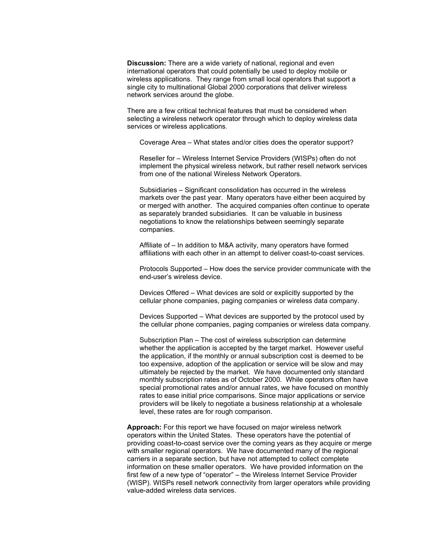**Discussion:** There are a wide variety of national, regional and even international operators that could potentially be used to deploy mobile or wireless applications. They range from small local operators that support a single city to multinational Global 2000 corporations that deliver wireless network services around the globe.

There are a few critical technical features that must be considered when selecting a wireless network operator through which to deploy wireless data services or wireless applications.

Coverage Area – What states and/or cities does the operator support?

Reseller for – Wireless Internet Service Providers (WISPs) often do not implement the physical wireless network, but rather resell network services from one of the national Wireless Network Operators.

Subsidiaries – Significant consolidation has occurred in the wireless markets over the past year. Many operators have either been acquired by or merged with another. The acquired companies often continue to operate as separately branded subsidiaries. It can be valuable in business negotiations to know the relationships between seemingly separate companies.

Affiliate of – In addition to M&A activity, many operators have formed affiliations with each other in an attempt to deliver coast-to-coast services.

Protocols Supported – How does the service provider communicate with the end-user's wireless device.

Devices Offered – What devices are sold or explicitly supported by the cellular phone companies, paging companies or wireless data company.

Devices Supported – What devices are supported by the protocol used by the cellular phone companies, paging companies or wireless data company.

Subscription Plan – The cost of wireless subscription can determine whether the application is accepted by the target market. However useful the application, if the monthly or annual subscription cost is deemed to be too expensive, adoption of the application or service will be slow and may ultimately be rejected by the market. We have documented only standard monthly subscription rates as of October 2000. While operators often have special promotional rates and/or annual rates, we have focused on monthly rates to ease initial price comparisons. Since major applications or service providers will be likely to negotiate a business relationship at a wholesale level, these rates are for rough comparison.

**Approach:** For this report we have focused on major wireless network operators within the United States. These operators have the potential of providing coast-to-coast service over the coming years as they acquire or merge with smaller regional operators. We have documented many of the regional carriers in a separate section, but have not attempted to collect complete information on these smaller operators. We have provided information on the first few of a new type of "operator" – the Wireless Internet Service Provider (WISP). WISPs resell network connectivity from larger operators while providing value-added wireless data services.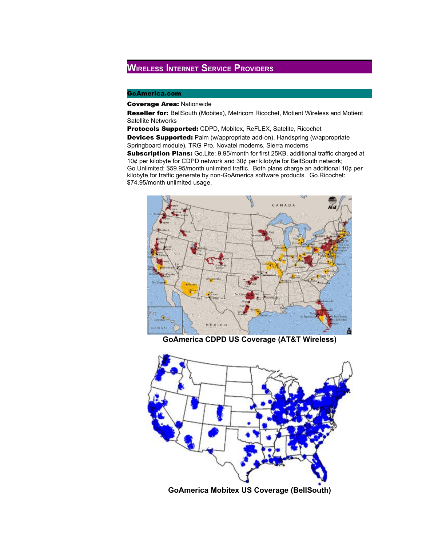## **WIRELESS INTERNET SERVICE PROVIDERS**

### GoAmerica.com

### Coverage Area: Nationwide

Reseller for: BellSouth (Mobitex), Metricom Ricochet, Motient Wireless and Motient Satellite Networks

Protocols Supported: CDPD, Mobitex, ReFLEX, Satelite, Ricochet

Devices Supported: Palm (w/appropriate add-on), Handspring (w/appropriate Springboard module), TRG Pro, Novatel modems, Sierra modems

Subscription Plans: Go.Lite: 9.95/month for first 25KB, additional traffic charged at 10¢ per kilobyte for CDPD network and 30¢ per kilobyte for BellSouth network; Go.Unlimited: \$59.95/month unlimited traffic. Both plans charge an additional 10¢ per kilobyte for traffic generate by non-GoAmerica software products. Go.Ricochet: \$74.95/month unlimited usage.



**GoAmerica CDPD US Coverage (AT&T Wireless)**



**GoAmerica Mobitex US Coverage (BellSouth)**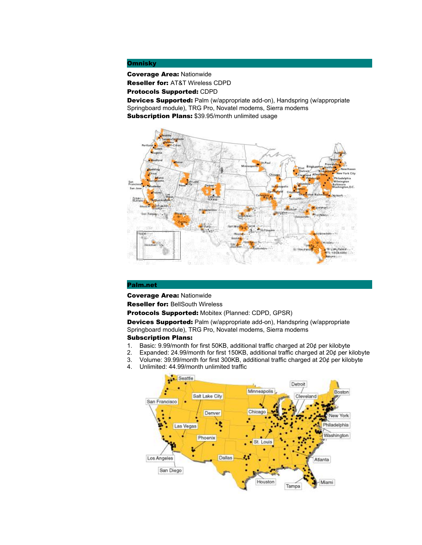### **Omnisky**

Coverage Area: Nationwide

Reseller for: AT&T Wireless CDPD

Protocols Supported: CDPD

Devices Supported: Palm (w/appropriate add-on), Handspring (w/appropriate Springboard module), TRG Pro, Novatel modems, Sierra modems Subscription Plans: \$39.95/month unlimited usage



### Palm.net

Coverage Area: Nationwide

Reseller for: BellSouth Wireless

Protocols Supported: Mobitex (Planned: CDPD, GPSR)

Devices Supported: Palm (w/appropriate add-on), Handspring (w/appropriate Springboard module), TRG Pro, Novatel modems, Sierra modems

### Subscription Plans:

- 1. Basic: 9.99/month for first 50KB, additional traffic charged at 20¢ per kilobyte<br>2. Expanded: 24.99/month for first 150KB, additional traffic charged at 20¢ per k
- Expanded: 24.99/month for first 150KB, additional traffic charged at 20¢ per kilobyte
- 3. Volume: 39.99/month for first 300KB, additional traffic charged at 20¢ per kilobyte
- 4. Unlimited: 44.99/month unlimited traffic

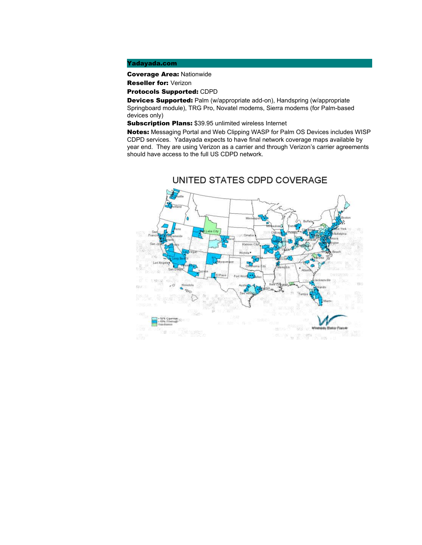### Yadayada.com

Coverage Area: Nationwide

Reseller for: Verizon

Protocols Supported: CDPD

Devices Supported: Palm (w/appropriate add-on), Handspring (w/appropriate Springboard module), TRG Pro, Novatel modems, Sierra modems (for Palm-based devices only)

Subscription Plans: \$39.95 unlimited wireless Internet

Notes: Messaging Portal and Web Clipping WASP for Palm OS Devices includes WISP CDPD services. Yadayada expects to have final network coverage maps available by year end. They are using Verizon as a carrier and through Verizon's carrier agreements should have access to the full US CDPD network.



UNITED STATES CDPD COVERAGE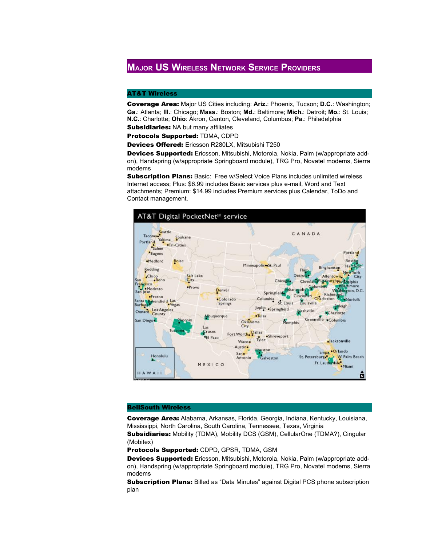## **MAJOR US WIRELESS NETWORK SERVICE PROVIDERS**

### AT&T Wireless

Coverage Area: Major US Cities including: **Ariz.**: Phoenix, Tucson; **D.C.**: Washington; **Ga.**: Atlanta; **Ill.**: Chicago; **Mass.**: Boston; **Md.**: Baltimore; **Mich.**: Detroit; **Mo.**: St. Louis; **N.C.**: Charlotte; **Ohio**: Akron, Canton, Cleveland, Columbus; **Pa.**: Philadelphia **Subsidiaries: NA but many affiliates** 

Protocols Supported: TDMA, CDPD

Devices Offered: Ericsson R280LX, Mitsubishi T250

Devices Supported: Ericsson, Mitsubishi, Motorola, Nokia, Palm (w/appropriate addon), Handspring (w/appropriate Springboard module), TRG Pro, Novatel modems, Sierra modems

**Subscription Plans:** Basic: Free w/Select Voice Plans includes unlimited wireless Internet access; Plus: \$6.99 includes Basic services plus e-mail, Word and Text attachments; Premium: \$14.99 includes Premium services plus Calendar, ToDo and Contact management.



### BellSouth Wireless

Coverage Area: Alabama, Arkansas, Florida, Georgia, Indiana, Kentucky, Louisiana, Mississippi, North Carolina, South Carolina, Tennessee, Texas, Virginia

Subsidiaries: Mobility (TDMA), Mobility DCS (GSM), CellularOne (TDMA?), Cingular (Mobitex)

Protocols Supported: CDPD, GPSR, TDMA, GSM

Devices Supported: Ericsson, Mitsubishi, Motorola, Nokia, Palm (w/appropriate addon), Handspring (w/appropriate Springboard module), TRG Pro, Novatel modems, Sierra modems

**Subscription Plans:** Billed as "Data Minutes" against Digital PCS phone subscription plan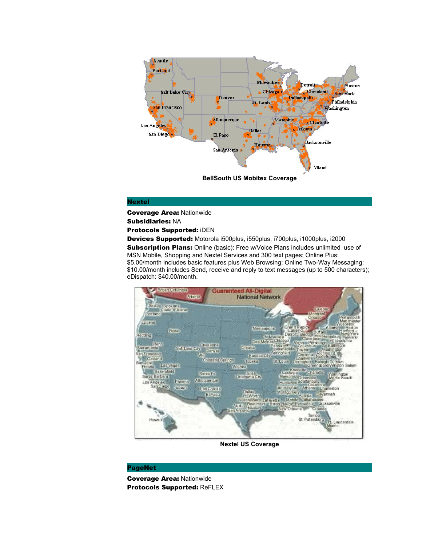

### Nextel

Coverage Area: Nationwide

Subsidiaries: NA

Protocols Supported: iDEN

Devices Supported: Motorola i500plus, i550plus, i700plus, i1000plus, i2000 **Subscription Plans:** Online (basic): Free w/Voice Plans includes unlimited use of MSN Mobile, Shopping and Nextel Services and 300 text pages; Online Plus: \$5.00/month includes basic features plus Web Browsing; Online Two-Way Messaging: \$10.00/month includes Send, receive and reply to text messages (up to 500 characters); eDispatch: \$40.00/month.



**Nextel US Coverage**

### PageNet

Coverage Area: Nationwide Protocols Supported: ReFLEX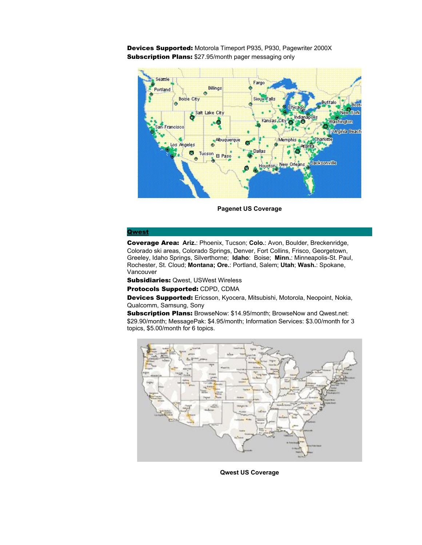Devices Supported: Motorola Timeport P935, P930, Pagewriter 2000X Subscription Plans: \$27.95/month pager messaging only



**Pagenet US Coverage**

#### [Qwest](http://www.qwest.com/)

Coverage Area: **Ariz.**: Phoenix, Tucson; **Colo.**: Avon, Boulder, Breckenridge, Colorado ski areas, Colorado Springs, Denver, Fort Collins, Frisco, Georgetown, Greeley, Idaho Springs, Silverthorne; **Idaho**: Boise; **Minn.**: Minneapolis-St. Paul, Rochester, St. Cloud; **Montana; Ore.**: Portland, Salem; **Utah**; **Wash.**: Spokane, Vancouver

Subsidiaries: Qwest, USWest Wireless

Protocols Supported: CDPD, CDMA

Devices Supported: Ericsson, Kyocera, Mitsubishi, Motorola, Neopoint, Nokia, Qualcomm, Samsung, Sony

Subscription Plans: BrowseNow: \$14.95/month; BrowseNow and Qwest.net: \$29.90/month; MessagePak: \$4.95/month; Information Services: \$3.00/month for 3 topics, \$5.00/month for 6 topics.



**Qwest US Coverage**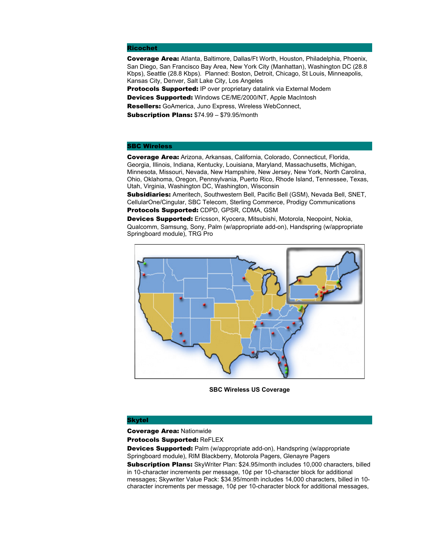### Ricochet

Coverage Area: Atlanta, Baltimore, Dallas/Ft Worth, Houston, Philadelphia, Phoenix, San Diego, San Francisco Bay Area, New York City (Manhattan), Washington DC (28.8 Kbps), Seattle (28.8 Kbps). Planned: Boston, Detroit, Chicago, St Louis, Minneapolis, Kansas City, Denver, Salt Lake City, Los Angeles

**Protocols Supported: IP over proprietary datalink via External Modem** Devices Supported: Windows CE/ME/2000/NT, Apple MacIntosh

Resellers: GoAmerica, Juno Express, Wireless WebConnect,

Subscription Plans: \$74.99 – \$79.95/month

### SBC Wireless

Coverage Area: Arizona, Arkansas, California, Colorado, Connecticut, Florida, Georgia, Illinois, Indiana, Kentucky, Louisiana, Maryland, Massachusetts, Michigan, Minnesota, Missouri, Nevada, New Hampshire, New Jersey, New York, North Carolina, Ohio, Oklahoma, Oregon, Pennsylvania, Puerto Rico, Rhode Island, Tennessee, Texas, Utah, Virginia, Washington DC, Washington, Wisconsin

**Subsidiaries:** Ameritech, Southwestern Bell, Pacific Bell (GSM), Nevada Bell, SNET, CellularOne/Cingular, SBC Telecom, Sterling Commerce, Prodigy Communications Protocols Supported: CDPD, GPSR, CDMA, GSM

Devices Supported: Ericsson, Kyocera, Mitsubishi, Motorola, Neopoint, Nokia, Qualcomm, Samsung, Sony, Palm (w/appropriate add-on), Handspring (w/appropriate Springboard module), TRG Pro



**SBC Wireless US Coverage**

### Skytel

Coverage Area: Nationwide

Protocols Supported: ReFLEX

Devices Supported: Palm (w/appropriate add-on), Handspring (w/appropriate Springboard module), RIM Blackberry, Motorola Pagers, Glenayre Pagers Subscription Plans: SkyWriter Plan: \$24.95/month includes 10,000 characters, billed in 10-character increments per message,  $10¢$  per 10-character block for additional

messages; Skywriter Value Pack: \$34.95/month includes 14,000 characters, billed in 10 character increments per message, 10¢ per 10-character block for additional messages,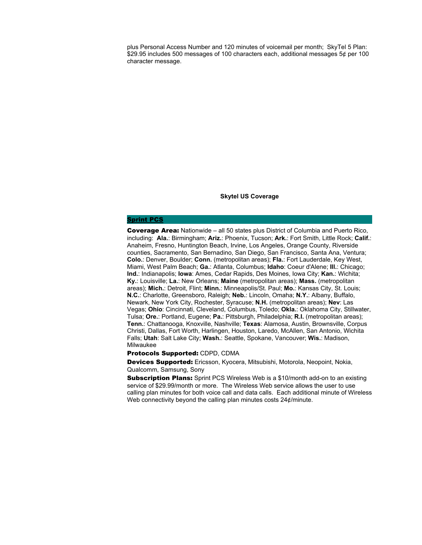plus Personal Access Number and 120 minutes of voicemail per month; SkyTel 5 Plan: \$29.95 includes 500 messages of 100 characters each, additional messages 5¢ per 100 character message.

**Skytel US Coverage**

### [Sprint PCS](http://www.sprintpcs.com/)

Coverage Area: Nationwide – all 50 states plus District of Columbia and Puerto Rico, including: **Ala.**: Birmingham; **Ariz.**: Phoenix, Tucson; **Ark.**: Fort Smith, Little Rock; **Calif.**: Anaheim, Fresno, Huntington Beach, Irvine, Los Angeles, Orange County, Riverside counties, Sacramento, San Bernadino, San Diego, San Francisco, Santa Ana, Ventura; **Colo.**: Denver, Boulder; **Conn.** (metropolitan areas); **Fla.**: Fort Lauderdale, Key West, Miami, West Palm Beach; **Ga.**: Atlanta, Columbus; **Idaho**: Coeur d'Alene; **Ill.**: Chicago; **Ind.**: Indianapolis; **Iowa**: Ames, Cedar Rapids, Des Moines, Iowa City; **Kan.**: Wichita; **Ky.**: Louisville; **La.**: New Orleans; **Maine** (metropolitan areas); **Mass.** (metropolitan areas); **Mich.**: Detroit, Flint; **Minn.**: Minneapolis/St. Paul; **Mo.**: Kansas City, St. Louis; **N.C.**: Charlotte, Greensboro, Raleigh; **Neb.**: Lincoln, Omaha; **N.Y.**: Albany, Buffalo, Newark, New York City, Rochester, Syracuse; **N.H.** (metropolitan areas); **Nev**: Las Vegas; **Ohio**: Cincinnati, Cleveland, Columbus, Toledo; **Okla.**: Oklahoma City, Stillwater, Tulsa; **Ore.**: Portland, Eugene; **Pa.**: Pittsburgh, Philadelphia; **R.I.** (metropolitan areas); **Tenn.**: Chattanooga, Knoxville, Nashville; **Texas**: Alamosa, Austin, Brownsville, Corpus Christi, Dallas, Fort Worth, Harlingen, Houston, Laredo, McAllen, San Antonio, Wichita Falls; **Utah**: Salt Lake City; **Wash.**: Seattle, Spokane, Vancouver; **Wis.**: Madison, Milwaukee

### Protocols Supported: CDPD, CDMA

Devices Supported: Ericsson, Kyocera, Mitsubishi, Motorola, Neopoint, Nokia, Qualcomm, Samsung, Sony

**Subscription Plans:** Sprint PCS Wireless Web is a \$10/month add-on to an existing service of \$29.99/month or more. The Wireless Web service allows the user to use calling plan minutes for both voice call and data calls. Each additional minute of Wireless Web connectivity beyond the calling plan minutes costs 24¢/minute.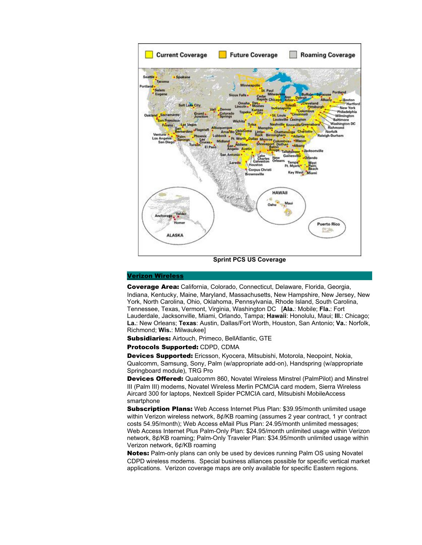

### [Verizon Wireless](http://www.verizonwireless.com/)

Coverage Area: California, Colorado, Connecticut, Delaware, Florida, Georgia, Indiana, Kentucky, Maine, Maryland, Massachusetts, New Hampshire, New Jersey, New York, North Carolina, Ohio, Oklahoma, Pennsylvania, Rhode Island, South Carolina, Tennessee, Texas, Vermont, Virginia, Washington DC [**Ala.**: Mobile; **Fla.**: Fort Lauderdale, Jacksonville, Miami, Orlando, Tampa; **Hawaii**: Honolulu, Maui; **Ill.**: Chicago; **La.**: New Orleans; **Texas**: Austin, Dallas/Fort Worth, Houston, San Antonio; **Va.**: Norfolk, Richmond; **Wis.**: Milwaukee]

Subsidiaries: Airtouch, Primeco, BellAtlantic, GTE

Protocols Supported: CDPD, CDMA

Devices Supported: Ericsson, Kyocera, Mitsubishi, Motorola, Neopoint, Nokia, Qualcomm, Samsung, Sony, Palm (w/appropriate add-on), Handspring (w/appropriate Springboard module), TRG Pro

Devices Offered: Qualcomm 860, Novatel Wireless Minstrel (PalmPilot) and Minstrel III (Palm III) modems, Novatel Wireless Merlin PCMCIA card modem, Sierra Wireless Aircard 300 for laptops, Nextcell Spider PCMCIA card, Mitsubishi MobileAccess smartphone

**Subscription Plans:** Web Access Internet Plus Plan: \$39.95/month unlimited usage within Verizon wireless network, 8¢/KB roaming (assumes 2 year contract, 1 yr contract costs 54.95/month); Web Access eMail Plus Plan: 24.95/month unlimited messages; Web Access Internet Plus Palm-Only Plan: \$24.95/month unlimited usage within Verizon network, 8¢/KB roaming; Palm-Only Traveler Plan: \$34.95/month unlimited usage within Verizon network, 6¢/KB roaming

Notes: Palm-only plans can only be used by devices running Palm OS using Novatel CDPD wireless modems. Special business alliances possible for specific vertical market applications. Verizon coverage maps are only available for specific Eastern regions.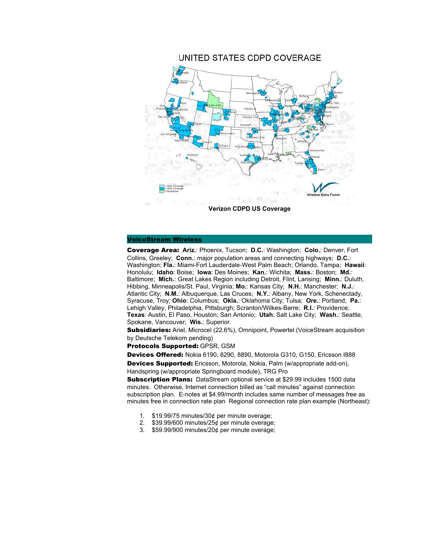

### [VoiceStream Wireless](http://www.voicestream.com/)

Coverage Area: **Ariz.**: Phoenix, Tucson; **D.C.**: Washington; **Colo.**: Denver, Fort Collins, Greeley; **Conn.**: major population areas and connecting highways; **D.C.**: Washington; **Fla.**: Miami-Fort Lauderdale-West Palm Beach; Orlando, Tampa; **Hawaii**: Honolulu; **Idaho**: Boise; **Iowa**: Des Moines; **Kan.**: Wichita; **Mass.**: Boston; **Md.**: Baltimore; **Mich.**: Great Lakes Region including Detroit, Flint, Lansing; **Minn.**: Duluth, Hibbing, Minneapolis/St. Paul, Virginia; **Mo.**: Kansas City; **N.H.**: Manchester; **N.J.**: Atlantic City; **N.M.**: Albuquerque, Las Cruces; **N.Y.**: Albany, New York, Schenectady, Syracuse, Troy; **Ohio**: Columbus; **Okla.**: Oklahoma City; Tulsa; **Ore.**: Portland; **Pa.**: Lehigh Valley, Philadelphia, Pittsburgh; Scranton/Wilkes-Barre; **R.I.**: Providence; **Texas**: Austin, El Paso, Houston; San Antonio; **Utah**: Salt Lake City; **Wash.**: Seattle, Spokane, Vancouver; **Wis.**: Superior.

**Subsidiaries:** Ariel, Microcel (22.6%), Omnipoint, Powertel (VoiceStream acquisition by Deutsche Telekom pending)

Protocols Supported: GPSR, GSM

Devices Offered: Nokia 6190, 8290, 8890, Motorola G310, G150, Ericsson I888 Devices Supported: Ericsson, Motorola, Nokia, Palm (w/appropriate add-on), Handspring (w/appropriate Springboard module), TRG Pro

**Subscription Plans:** DataStream optional service at \$29.99 includes 1500 data minutes. Otherwise, Internet connection billed as "call minutes" against connection subscription plan. E-notes at \$4.99/month includes same number of messages free as minutes free in connection rate plan Regional connection rate plan example (Northeast):

- 1. \$19.99/75 minutes/30¢ per minute overage;
- 2. \$39.99/600 minutes/25¢ per minute overage;
- 3. \$59.99/900 minutes/20¢ per minute overage;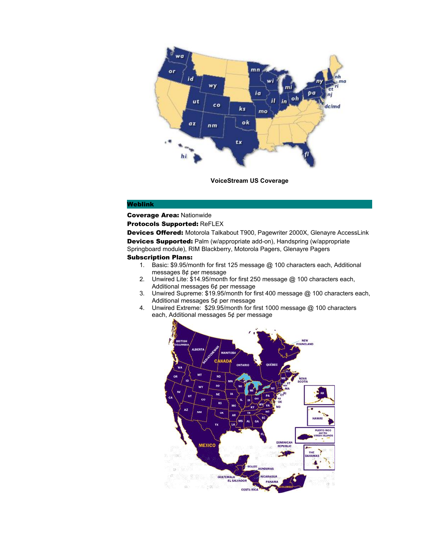

**VoiceStream US Coverage**

### Weblink

Coverage Area: Nationwide

Protocols Supported: ReFLEX

Devices Offered: Motorola Talkabout T900, Pagewriter 2000X, Glenayre AccessLink Devices Supported: Palm (w/appropriate add-on), Handspring (w/appropriate Springboard module), RIM Blackberry, Motorola Pagers, Glenayre Pagers

### Subscription Plans:

- 1. Basic: \$9.95/month for first 125 message @ 100 characters each, Additional messages 8¢ per message
- 2. Unwired Lite: \$14.95/month for first 250 message @ 100 characters each, Additional messages 6¢ per message
- 3. Unwired Supreme: \$19.95/month for first 400 message @ 100 characters each, Additional messages 5¢ per message
- 4. Unwired Extreme: \$29.95/month for first 1000 message @ 100 characters each, Additional messages 5¢ per message

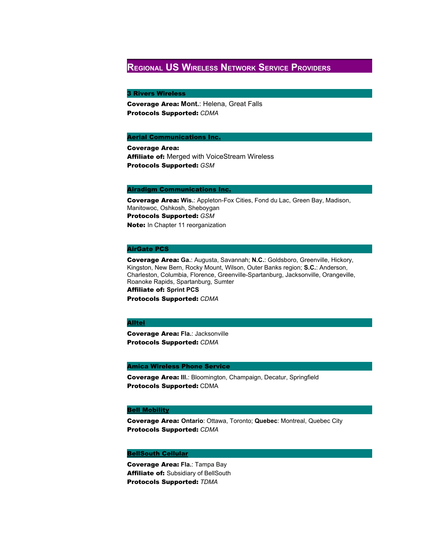## **REGIONAL US WIRELESS NETWORK SERVICE PROVIDERS**

### 3 Rivers Wireless

Coverage Area: **Mont.**: Helena, Great Falls Protocols Supported: *CDMA*

### [Aerial Communications Inc.](http://www.aerial1.com/)

Coverage Area: Affiliate of: Merged with VoiceStream Wireless Protocols Supported: *GSM*

### [Airadigm Communications Inc.](http://www.airadigm.com/brownet3/index.htm)

Coverage Area: **Wis.**: Appleton-Fox Cities, Fond du Lac, Green Bay, Madison, Manitowoc, Oshkosh, Sheboygan Protocols Supported: *GSM*  Note: In Chapter 11 reorganization

### AirGate PCS

Coverage Area: **Ga.**: Augusta, Savannah; **N.C.**: Goldsboro, Greenville, Hickory, Kingston, New Bern, Rocky Mount, Wilson, Outer Banks region; **S.C.**: Anderson, Charleston, Columbia, Florence, Greenville-Spartanburg, Jacksonville, Orangeville, Roanoke Rapids, Spartanburg, Sumter Affiliate of: **Sprint PCS**  Protocols Supported: *CDMA*

### [Alltel](http://www.alltel.com/)

Coverage Area: **Fla.**: Jacksonville Protocols Supported: *CDMA*

### Amica Wireless Phone Service

Coverage Area: **Ill.**: Bloomington, Champaign, Decatur, Springfield Protocols Supported: CDMA

### [Bell Mobility](http://www.bellmobility.ca/)

Coverage Area: **Ontario**: Ottawa, Toronto; **Quebec**: Montreal, Quebec City Protocols Supported: *CDMA*

### **[BellSouth Cellular](http://www.com/bscc)**

Coverage Area: **Fla.**: Tampa Bay Affiliate of: Subsidiary of BellSouth Protocols Supported: *TDMA*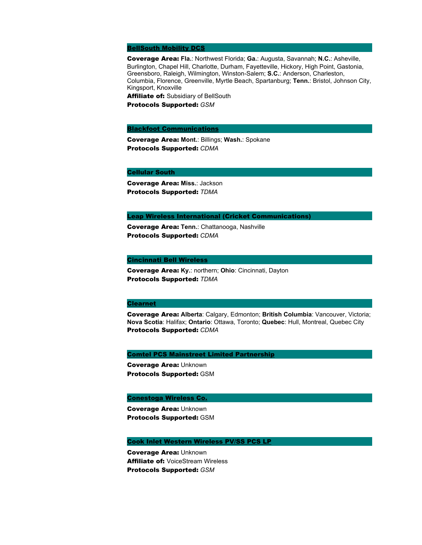### [BellSouth Mobility DCS](http://www.bellsouthdcs.com/)

Coverage Area: **Fla.**: Northwest Florida; **Ga.**: Augusta, Savannah; **N.C.**: Asheville, Burlington, Chapel Hill, Charlotte, Durham, Fayetteville, Hickory, High Point, Gastonia, Greensboro, Raleigh, Wilmington, Winston-Salem; **S.C.**: Anderson, Charleston, Columbia, Florence, Greenville, Myrtle Beach, Spartanburg; **Tenn.**: Bristol, Johnson City, Kingsport, Knoxville Affiliate of: Subsidiary of BellSouth

Protocols Supported: *GSM*

### [Blackfoot Communications](http://www.blackfoot.net/)

Coverage Area: **Mont.**: Billings; **Wash.**: Spokane Protocols Supported: *CDMA*

Cellular South

Coverage Area: **Miss.**: Jackson Protocols Supported: *TDMA*

### [Leap Wireless International](http://www.leapwireless.com/) (Cricket Communications)

Coverage Area: **Tenn.**: Chattanooga, Nashville Protocols Supported: *CDMA*

### [Cincinnati Bell Wireless](http://www.cbwireless.com/)

Coverage Area: **Ky.**: northern; **Ohio**: Cincinnati, Dayton Protocols Supported: *TDMA*

### [Clearnet](http://www.clearnet.com/)

Coverage Area: **Alberta**: Calgary, Edmonton; **British Columbia**: Vancouver, Victoria; **Nova Scotia**: Halifax; **Ontario**: Ottawa, Toronto; **Quebec**: Hull, Montreal, Quebec City Protocols Supported: *CDMA*

### [Comtel PCS Mainstreet Limited Partnership](http://www.amerilinkpcs.com/)

Coverage Area: Unknown Protocols Supported: GSM

### [Conestoga Wireless Co.](http://www.callconestoga.com/)

Coverage Area: Unknown Protocols Supported: GSM

### [Cook Inlet Western Wireless PV/SS PCS LP](http://www.voicestream.com/)

Coverage Area: Unknown Affiliate of: VoiceStream Wireless Protocols Supported: *GSM*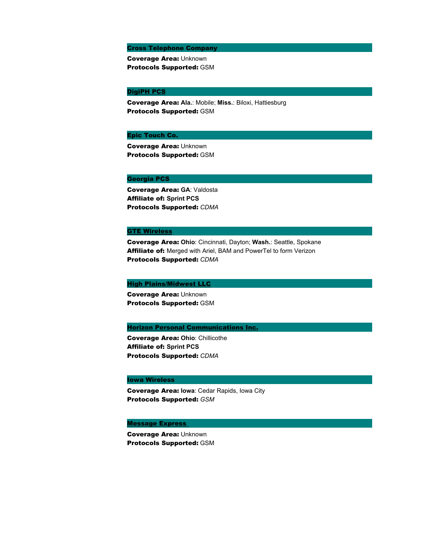### Cross Telephone Company

Coverage Area: Unknown Protocols Supported: GSM

### [DigiPH PCS](http://www.digph.com/)

Coverage Area: **Ala.**: Mobile; **Miss.**: Biloxi, Hattiesburg Protocols Supported: GSM

### Epic Touch Co.

Coverage Area: Unknown Protocols Supported: GSM

### Georgia PCS

Coverage Area: **GA**: Valdosta Affiliate of: **Sprint PCS**  Protocols Supported: *CDMA*

### **[GTE Wireless](http://www.mobilenet.gte.com/)**

Coverage Area: **Ohio**: Cincinnati, Dayton; **Wash.**: Seattle, Spokane Affiliate of: Merged with Ariel, BAM and PowerTel to form Verizon Protocols Supported: *CDMA*

### [High Plains/Midwest LLC](http://www.westlinkcom.com/)

Coverage Area: Unknown Protocols Supported: GSM

### **[Horizon Personal Communications Inc.](http://www.horizonpcs.com/)**

Coverage Area: **Ohio**: Chillicothe Affiliate of: **Sprint PCS**  Protocols Supported: *CDMA*

### Iowa Wireless

Coverage Area: **Iowa**: Cedar Rapids, Iowa City Protocols Supported: *GSM*

### **Message Express**

Coverage Area: Unknown Protocols Supported: GSM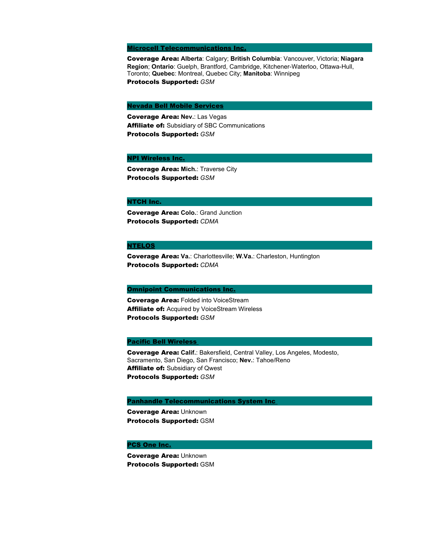### [Microcell Telecommunications Inc.](http://www.fido.ca/engl)

Coverage Area: **Alberta**: Calgary; **British Columbia**: Vancouver, Victoria; **Niagara Region**; **Ontario**: Guelph, Brantford, Cambridge, Kitchener-Waterloo, Ottawa-Hull, Toronto; **Quebec**: Montreal, Quebec City; **Manitoba**: Winnipeg Protocols Supported: *GSM*

### [Nevada Bell Mobile Services](http://www.pacbell.com/products/wireless/pcs/index.html)

Coverage Area: **Nev.**: Las Vegas **Affiliate of: Subsidiary of SBC Communications** Protocols Supported: *GSM*

### [NPI Wireless Inc.](http://www.noverr.com/)

Coverage Area: **Mich.**: Traverse City Protocols Supported: *GSM*

#### NTCH Inc.

Coverage Area: **Colo.**: Grand Junction Protocols Supported: *CDMA*

### [NTELOS](http://www.cfw.com/)

Coverage Area: **Va.**: Charlottesville; **W.Va.**: Charleston, Huntington Protocols Supported: *CDMA*

### **[Omnipoint Communications Inc.](http://www.omnipoint.com/)**

**Coverage Area: Folded into VoiceStream Affiliate of:** Acquired by VoiceStream Wireless Protocols Supported: *GSM*

### [Pacific Bell Wireless](http://www.pacbell.mobile.com/)

Coverage Area: **Calif.**: Bakersfield, Central Valley, Los Angeles, Modesto, Sacramento, San Diego, San Francisco; **Nev.**: Tahoe/Reno Affiliate of: Subsidiary of Qwest Protocols Supported: *GSM*

### [Panhandle Telecommunications System Inc](http://www.ptsi.net/)

Coverage Area: Unknown Protocols Supported: GSM

#### [PCS One Inc.](http://www.pcsone.com/)

Coverage Area: Unknown Protocols Supported: GSM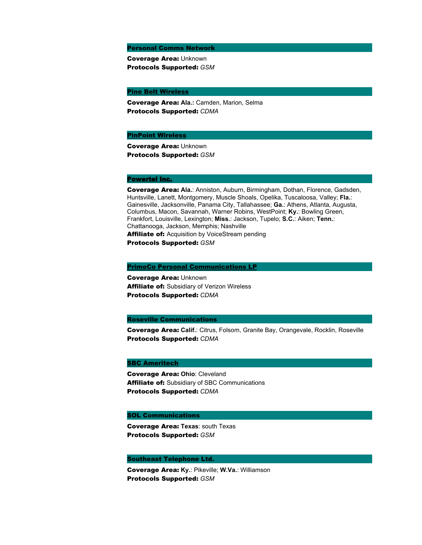Personal Comms Network

Coverage Area: Unknown Protocols Supported: *GSM*

**[Pine Belt Wireless](http://www.pinebelt.net/)** 

Coverage Area: **Ala.:** Camden, Marion, Selma Protocols Supported: *CDMA*

### [PinPoint Wireless](http://www.pnpt.com/)

Coverage Area: Unknown Protocols Supported: *GSM*

### [Powertel Inc.](http://www.powertel.com/)

Coverage Area: **Ala.**: Anniston, Auburn, Birmingham, Dothan, Florence, Gadsden, Huntsville, Lanett, Montgomery, Muscle Shoals, Opelika, Tuscaloosa, Valley; **Fla.**: Gainesville, Jacksonville, Panama City, Tallahassee; **Ga.**: Athens, Atlanta, Augusta, Columbus, Macon, Savannah, Warner Robins, WestPoint; **Ky.**: Bowling Green, Frankfort, Louisville, Lexington; **Miss.**: Jackson, Tupelo; **S.C.**: Aiken; **Tenn.**: Chattanooga, Jackson, Memphis; Nashville **Affiliate of:** Acquisition by VoiceStream pending

Protocols Supported: *GSM*

#### [PrimeCo Personal Communications LP](http://www.primeco.com/)

Coverage Area: Unknown Affiliate of: Subsidiary of Verizon Wireless Protocols Supported: *CDMA*

#### Roseville Communications

Coverage Area: **Calif.**: Citrus, Folsom, Granite Bay, Orangevale, Rocklin, Roseville Protocols Supported: *CDMA*

### [SBC Ameritech](http://ameritech.com/)

Coverage Area: **Ohio**: Cleveland Affiliate of: Subsidiary of SBC Communications Protocols Supported: *CDMA*

### SOL Communications

Coverage Area: **Texas**: south Texas Protocols Supported: *GSM*

### Southeast Telephone Ltd.

Coverage Area: **Ky.**: Pikeville; **W.Va.**: Williamson Protocols Supported: *GSM*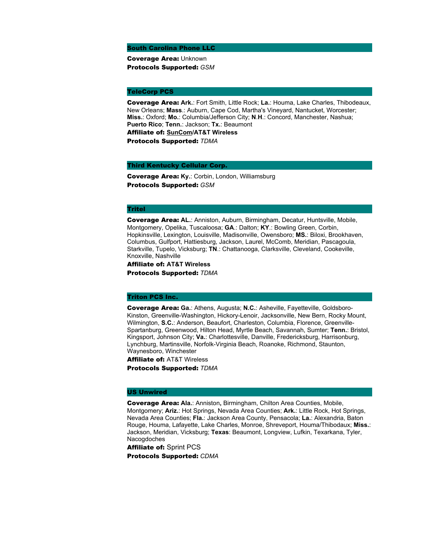South Carolina Phone LLC

Coverage Area: Unknown Protocols Supported: *GSM*

### TeleCorp PCS

Coverage Area: **Ark.**: Fort Smith, Little Rock; **La.**: Houma, Lake Charles, Thibodeaux, New Orleans; **Mass**.: Auburn, Cape Cod, Martha's Vineyard, Nantucket, Worcester; **Miss.**: Oxford; **Mo.**: Columbia/Jefferson City; **N**.**H**.: Concord, Manchester, Nashua; **Puerto Rico**; **Tenn.**: Jackson; **Tx.**: Beaumont

Affiliate of: **[SunCom](http://www.suncom.com/)/AT&T Wireless**

Protocols Supported: *TDMA*

### Third Kentucky Cellular Corp.

Coverage Area: **Ky.**: Corbin, London, Williamsburg Protocols Supported: *GSM*

### Tritel

Coverage Area: **AL.**: Anniston, Auburn, Birmingham, Decatur, Huntsville, Mobile, Montgomery, Opelika, Tuscaloosa; **GA**.: Dalton; **KY**.: Bowling Green, Corbin, Hopkinsville, Lexington, Louisville, Madisonville, Owensboro; **MS.**: Biloxi, Brookhaven, Columbus, Gulfport, Hattiesburg, Jackson, Laurel, McComb, Meridian, Pascagoula, Starkville, Tupelo, Vicksburg; **TN**.: Chattanooga, Clarksville, Cleveland, Cookeville, Knoxville, Nashville

Affiliate of: **AT&T Wireless** Protocols Supported: *TDMA*

### Triton PCS Inc.

Coverage Area: **Ga.**: Athens, Augusta; **N.C.**: Asheville, Fayetteville, Goldsboro-Kinston, Greenville-Washington, Hickory-Lenoir, Jacksonville, New Bern, Rocky Mount, Wilmington, **S.C.**: Anderson, Beaufort, Charleston, Columbia, Florence, Greenville-Spartanburg, Greenwood, Hilton Head, Myrtle Beach, Savannah, Sumter; **Tenn.**: Bristol, Kingsport, Johnson City; **Va.**: Charlottesville, Danville, Fredericksburg, Harrisonburg, Lynchburg, Martinsville, Norfolk-Virginia Beach, Roanoke, Richmond, Staunton, Waynesboro, Winchester

Affiliate of: AT&T Wireless Protocols Supported: *TDMA*

#### US Unwired

Coverage Area: **Ala.**: Anniston**,** Birmingham, Chilton Area Counties, Mobile, Montgomery; **Ariz.**: Hot Springs, Nevada Area Counties; **Ark.**: Little Rock, Hot Springs, Nevada Area Counties; **Fla.**: Jackson Area County, Pensacola; **La.**: Alexandria, Baton Rouge, Houma, Lafayette, Lake Charles, Monroe, Shreveport, Houma/Thibodaux; **Miss.**: Jackson, Meridian, Vicksburg; **Texas**: Beaumont, Longview, Lufkin, Texarkana, Tyler, Nacogdoches

Affiliate of: Sprint PCS

Protocols Supported: *CDMA*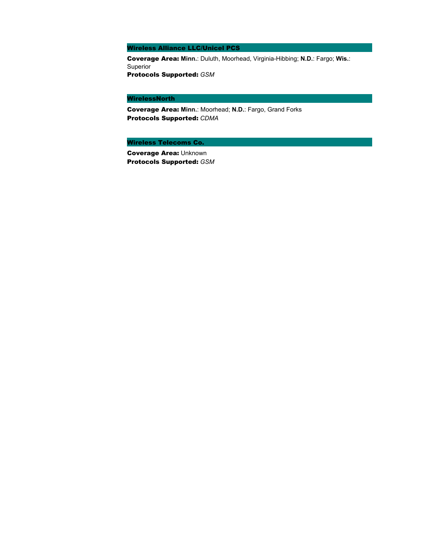Wireless Alliance LLC/Unicel PCS

Coverage Area: **Minn.**: Duluth, Moorhead, Virginia-Hibbing; **N.D.**: Fargo; **Wis.**: Superior Protocols Supported: *GSM*

### WirelessNorth

Coverage Area: **Minn.**: Moorhead; **N.D.**: Fargo, Grand Forks Protocols Supported: *CDMA*

Wireless Telecoms Co.

Coverage Area: Unknown Protocols Supported: *GSM*